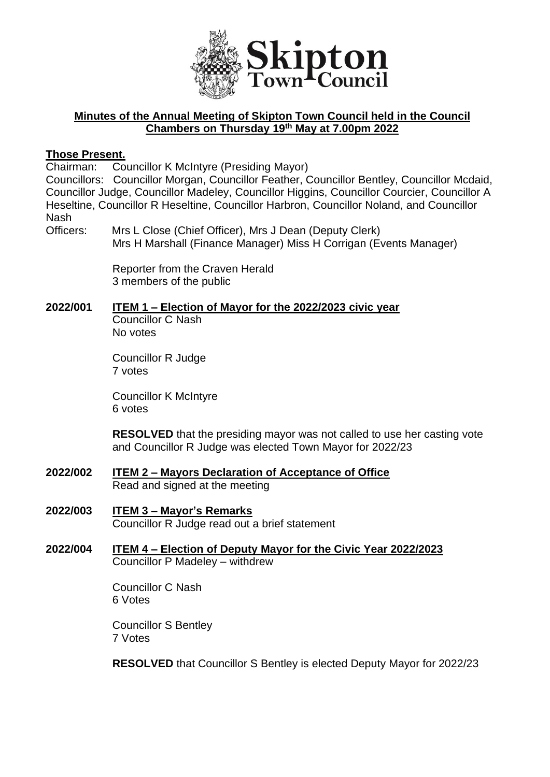

## **Minutes of the Annual Meeting of Skipton Town Council held in the Council Chambers on Thursday 19th May at 7.00pm 2022**

### **Those Present.**

Chairman: Councillor K McIntyre (Presiding Mayor)

Councillors: Councillor Morgan, Councillor Feather, Councillor Bentley, Councillor Mcdaid, Councillor Judge, Councillor Madeley, Councillor Higgins, Councillor Courcier, Councillor A Heseltine, Councillor R Heseltine, Councillor Harbron, Councillor Noland, and Councillor Nash

Officers: Mrs L Close (Chief Officer), Mrs J Dean (Deputy Clerk) Mrs H Marshall (Finance Manager) Miss H Corrigan (Events Manager)

> Reporter from the Craven Herald 3 members of the public

## **2022/001 ITEM 1 – Election of Mayor for the 2022/2023 civic year**

Councillor C Nash No votes

Councillor R Judge 7 votes

Councillor K McIntyre 6 votes

**RESOLVED** that the presiding mayor was not called to use her casting vote and Councillor R Judge was elected Town Mayor for 2022/23

- **2022/002 ITEM 2 – Mayors Declaration of Acceptance of Office** Read and signed at the meeting
- **2022/003 ITEM 3 – Mayor's Remarks** Councillor R Judge read out a brief statement
- **2022/004 ITEM 4 – Election of Deputy Mayor for the Civic Year 2022/2023** Councillor P Madeley – withdrew

Councillor C Nash 6 Votes

Councillor S Bentley 7 Votes

**RESOLVED** that Councillor S Bentley is elected Deputy Mayor for 2022/23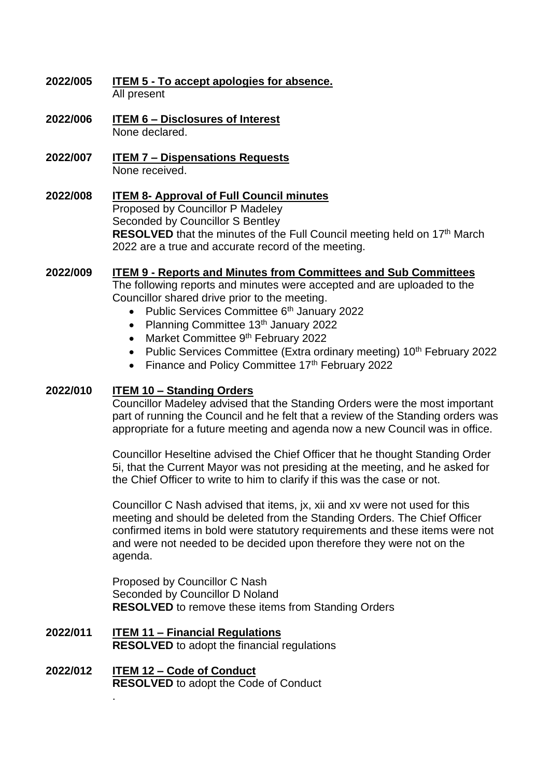- **2022/005 ITEM 5 - To accept apologies for absence.** All present
- **2022/006 ITEM 6 – Disclosures of Interest** None declared.
- **2022/007 ITEM 7 – Dispensations Requests** None received.
- **2022/008 ITEM 8- Approval of Full Council minutes** Proposed by Councillor P Madeley Seconded by Councillor S Bentley **RESOLVED** that the minutes of the Full Council meeting held on 17<sup>th</sup> March 2022 are a true and accurate record of the meeting.

## **2022/009 ITEM 9 - Reports and Minutes from Committees and Sub Committees**

The following reports and minutes were accepted and are uploaded to the Councillor shared drive prior to the meeting.

- Public Services Committee 6<sup>th</sup> January 2022
- Planning Committee 13<sup>th</sup> January 2022
- Market Committee 9<sup>th</sup> February 2022
- Public Services Committee (Extra ordinary meeting) 10<sup>th</sup> February 2022
- Finance and Policy Committee  $17<sup>th</sup>$  February 2022

### **2022/010 ITEM 10 – Standing Orders**

Councillor Madeley advised that the Standing Orders were the most important part of running the Council and he felt that a review of the Standing orders was appropriate for a future meeting and agenda now a new Council was in office.

Councillor Heseltine advised the Chief Officer that he thought Standing Order 5i, that the Current Mayor was not presiding at the meeting, and he asked for the Chief Officer to write to him to clarify if this was the case or not.

Councillor C Nash advised that items, jx, xii and xv were not used for this meeting and should be deleted from the Standing Orders. The Chief Officer confirmed items in bold were statutory requirements and these items were not and were not needed to be decided upon therefore they were not on the agenda.

Proposed by Councillor C Nash Seconded by Councillor D Noland **RESOLVED** to remove these items from Standing Orders

- **2022/011 ITEM 11 – Financial Regulations RESOLVED** to adopt the financial regulations
- **2022/012 ITEM 12 – Code of Conduct RESOLVED** to adopt the Code of Conduct

.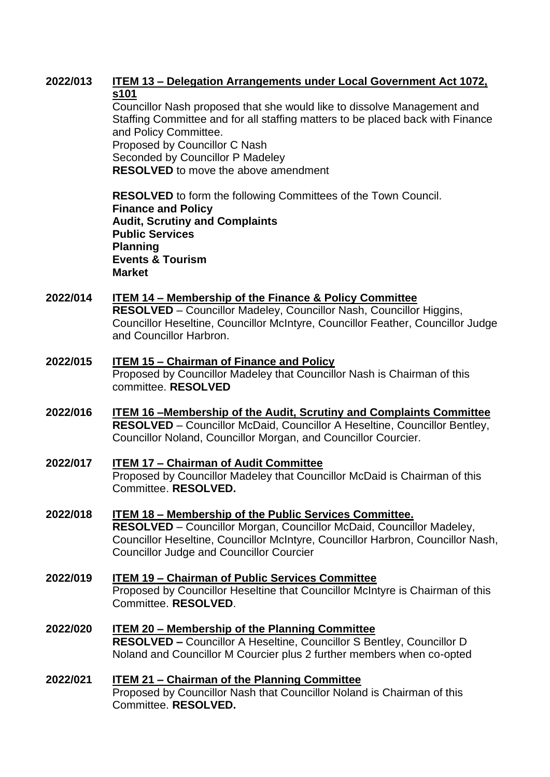## **2022/013 ITEM 13 – Delegation Arrangements under Local Government Act 1072, s101**

Councillor Nash proposed that she would like to dissolve Management and Staffing Committee and for all staffing matters to be placed back with Finance and Policy Committee. Proposed by Councillor C Nash

Seconded by Councillor P Madeley **RESOLVED** to move the above amendment

**RESOLVED** to form the following Committees of the Town Council. **Finance and Policy Audit, Scrutiny and Complaints Public Services Planning Events & Tourism Market** 

# **2022/014 ITEM 14 – Membership of the Finance & Policy Committee**

**RESOLVED** – Councillor Madeley, Councillor Nash, Councillor Higgins, Councillor Heseltine, Councillor McIntyre, Councillor Feather, Councillor Judge and Councillor Harbron.

- **2022/015 ITEM 15 – Chairman of Finance and Policy**  Proposed by Councillor Madeley that Councillor Nash is Chairman of this committee. **RESOLVED**
- **2022/016 ITEM 16 –Membership of the Audit, Scrutiny and Complaints Committee RESOLVED** – Councillor McDaid, Councillor A Heseltine, Councillor Bentley, Councillor Noland, Councillor Morgan, and Councillor Courcier.
- **2022/017 ITEM 17 – Chairman of Audit Committee** Proposed by Councillor Madeley that Councillor McDaid is Chairman of this Committee. **RESOLVED.**
- **2022/018 ITEM 18 – Membership of the Public Services Committee. RESOLVED** – Councillor Morgan, Councillor McDaid, Councillor Madeley, Councillor Heseltine, Councillor McIntyre, Councillor Harbron, Councillor Nash, Councillor Judge and Councillor Courcier
- **2022/019 ITEM 19 – Chairman of Public Services Committee** Proposed by Councillor Heseltine that Councillor McIntyre is Chairman of this Committee. **RESOLVED**.
- **2022/020 ITEM 20 – Membership of the Planning Committee RESOLVED –** Councillor A Heseltine, Councillor S Bentley, Councillor D Noland and Councillor M Courcier plus 2 further members when co-opted
- **2022/021 ITEM 21 – Chairman of the Planning Committee** Proposed by Councillor Nash that Councillor Noland is Chairman of this Committee. **RESOLVED.**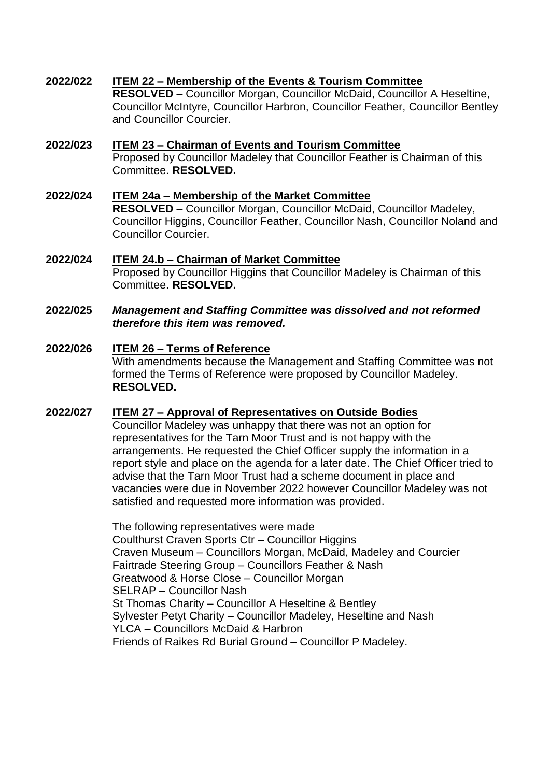**2022/022 ITEM 22 – Membership of the Events & Tourism Committee RESOLVED** – Councillor Morgan, Councillor McDaid, Councillor A Heseltine, Councillor McIntyre, Councillor Harbron, Councillor Feather, Councillor Bentley and Councillor Courcier.

### **2022/023 ITEM 23 – Chairman of Events and Tourism Committee** Proposed by Councillor Madeley that Councillor Feather is Chairman of this Committee. **RESOLVED.**

**2022/024 ITEM 24a – Membership of the Market Committee RESOLVED –** Councillor Morgan, Councillor McDaid, Councillor Madeley, Councillor Higgins, Councillor Feather, Councillor Nash, Councillor Noland and Councillor Courcier.

### **2022/024 ITEM 24.b – Chairman of Market Committee** Proposed by Councillor Higgins that Councillor Madeley is Chairman of this Committee. **RESOLVED.**

### **2022/025** *Management and Staffing Committee was dissolved and not reformed therefore this item was removed.*

## **2022/026 ITEM 26 – Terms of Reference** With amendments because the Management and Staffing Committee was not formed the Terms of Reference were proposed by Councillor Madeley. **RESOLVED.**

## **2022/027 ITEM 27 – Approval of Representatives on Outside Bodies**

Councillor Madeley was unhappy that there was not an option for representatives for the Tarn Moor Trust and is not happy with the arrangements. He requested the Chief Officer supply the information in a report style and place on the agenda for a later date. The Chief Officer tried to advise that the Tarn Moor Trust had a scheme document in place and vacancies were due in November 2022 however Councillor Madeley was not satisfied and requested more information was provided.

The following representatives were made Coulthurst Craven Sports Ctr – Councillor Higgins Craven Museum – Councillors Morgan, McDaid, Madeley and Courcier Fairtrade Steering Group – Councillors Feather & Nash Greatwood & Horse Close – Councillor Morgan SELRAP – Councillor Nash St Thomas Charity – Councillor A Heseltine & Bentley Sylvester Petyt Charity – Councillor Madeley, Heseltine and Nash YLCA – Councillors McDaid & Harbron Friends of Raikes Rd Burial Ground – Councillor P Madeley.